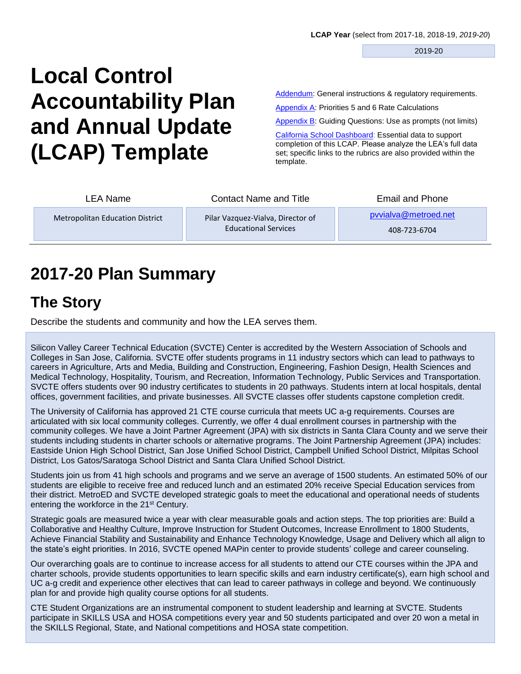2019-20

# **Local Control Accountability Plan and Annual Update (LCAP) Template**

[Addendum:](#page-26-0) General instructions & regulatory requirements.

[Appendix A:](#page-26-0) Priorities 5 and 6 Rate Calculations

Appendix B: Guiding Questions: Use as prompts (not limits)

[California School Dashboard:](https://www.caschooldashboard.org/#/Home) Essential data to support completion of this LCAP. Please analyze the LEA's full data set; specific links to the rubrics are also provided within the template.

| LEA Name                               | <b>Contact Name and Title</b>                                    | Email and Phone                      |
|----------------------------------------|------------------------------------------------------------------|--------------------------------------|
| <b>Metropolitan Education District</b> | Pilar Vazquez-Vialva, Director of<br><b>Educational Services</b> | pyvialva@metroed.net<br>408-723-6704 |

# **2017-20 Plan Summary**

# **The Story**

Describe the students and community and how the LEA serves them.

Silicon Valley Career Technical Education (SVCTE) Center is accredited by the Western Association of Schools and Colleges in San Jose, California. SVCTE offer students programs in 11 industry sectors which can lead to pathways to careers in Agriculture, Arts and Media, Building and Construction, Engineering, Fashion Design, Health Sciences and Medical Technology, Hospitality, Tourism, and Recreation, Information Technology, Public Services and Transportation. SVCTE offers students over 90 industry certificates to students in 20 pathways. Students intern at local hospitals, dental offices, government facilities, and private businesses. All SVCTE classes offer students capstone completion credit.

The University of California has approved 21 CTE course curricula that meets UC a-g requirements. Courses are articulated with six local community colleges. Currently, we offer 4 dual enrollment courses in partnership with the community colleges. We have a Joint Partner Agreement (JPA) with six districts in Santa Clara County and we serve their students including students in charter schools or alternative programs. The Joint Partnership Agreement (JPA) includes: Eastside Union High School District, San Jose Unified School District, Campbell Unified School District, Milpitas School District, Los Gatos/Saratoga School District and Santa Clara Unified School District.

Students join us from 41 high schools and programs and we serve an average of 1500 students. An estimated 50% of our students are eligible to receive free and reduced lunch and an estimated 20% receive Special Education services from their district. MetroED and SVCTE developed strategic goals to meet the educational and operational needs of students entering the workforce in the 21st Century.

Strategic goals are measured twice a year with clear measurable goals and action steps. The top priorities are: Build a Collaborative and Healthy Culture, Improve Instruction for Student Outcomes, Increase Enrollment to 1800 Students, Achieve Financial Stability and Sustainability and Enhance Technology Knowledge, Usage and Delivery which all align to the state's eight priorities. In 2016, SVCTE opened MAPin center to provide students' college and career counseling.

Our overarching goals are to continue to increase access for all students to attend our CTE courses within the JPA and charter schools, provide students opportunities to learn specific skills and earn industry certificate(s), earn high school and UC a-g credit and experience other electives that can lead to career pathways in college and beyond. We continuously plan for and provide high quality course options for all students.

CTE Student Organizations are an instrumental component to student leadership and learning at SVCTE. Students participate in SKILLS USA and HOSA competitions every year and 50 students participated and over 20 won a metal in the SKILLS Regional, State, and National competitions and HOSA state competition.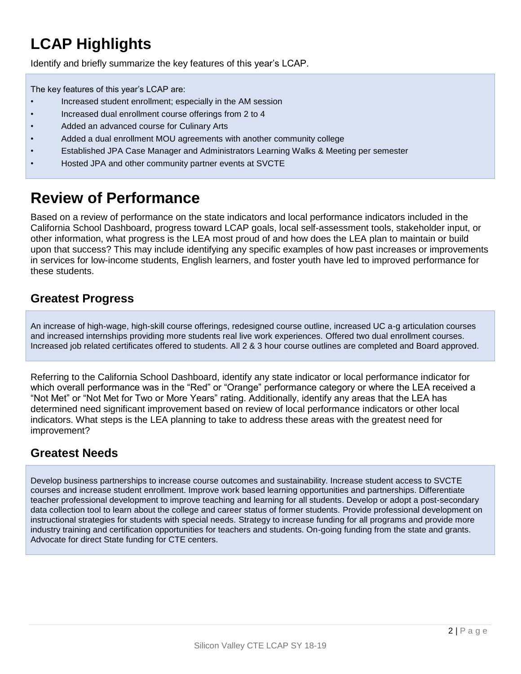# **LCAP Highlights**

Identify and briefly summarize the key features of this year's LCAP.

The key features of this year's LCAP are:

- Increased student enrollment; especially in the AM session
- Increased dual enrollment course offerings from 2 to 4
- Added an advanced course for Culinary Arts
- Added a dual enrollment MOU agreements with another community college
- Established JPA Case Manager and Administrators Learning Walks & Meeting per semester
- Hosted JPA and other community partner events at SVCTE

# **Review of Performance**

Based on a review of performance on the state indicators and local performance indicators included in the California School Dashboard, progress toward LCAP goals, local self-assessment tools, stakeholder input, or other information, what progress is the LEA most proud of and how does the LEA plan to maintain or build upon that success? This may include identifying any specific examples of how past increases or improvements in services for low-income students, English learners, and foster youth have led to improved performance for these students.

### **Greatest Progress**

An increase of high-wage, high-skill course offerings, redesigned course outline, increased UC a-g articulation courses and increased internships providing more students real live work experiences. Offered two dual enrollment courses. Increased job related certificates offered to students. All 2 & 3 hour course outlines are completed and Board approved.

Referring to the California School Dashboard, identify any state indicator or local performance indicator for which overall performance was in the "Red" or "Orange" performance category or where the LEA received a "Not Met" or "Not Met for Two or More Years" rating. Additionally, identify any areas that the LEA has determined need significant improvement based on review of local performance indicators or other local indicators. What steps is the LEA planning to take to address these areas with the greatest need for improvement?

### **Greatest Needs**

Develop business partnerships to increase course outcomes and sustainability. Increase student access to SVCTE courses and increase student enrollment. Improve work based learning opportunities and partnerships. Differentiate teacher professional development to improve teaching and learning for all students. Develop or adopt a post-secondary data collection tool to learn about the college and career status of former students. Provide professional development on instructional strategies for students with special needs. Strategy to increase funding for all programs and provide more industry training and certification opportunities for teachers and students. On-going funding from the state and grants. Advocate for direct State funding for CTE centers.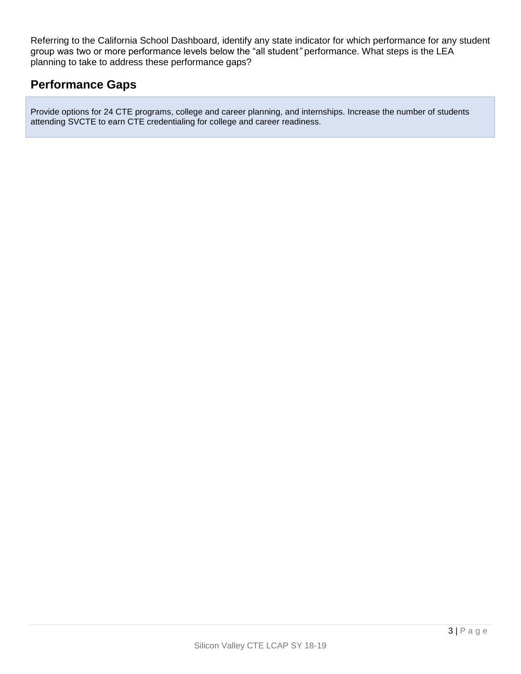Referring to the California School Dashboard, identify any state indicator for which performance for any student group was two or more performance levels below the "all student*"* performance. What steps is the LEA planning to take to address these performance gaps?

#### **Performance Gaps**

Provide options for 24 CTE programs, college and career planning, and internships. Increase the number of students attending SVCTE to earn CTE credentialing for college and career readiness.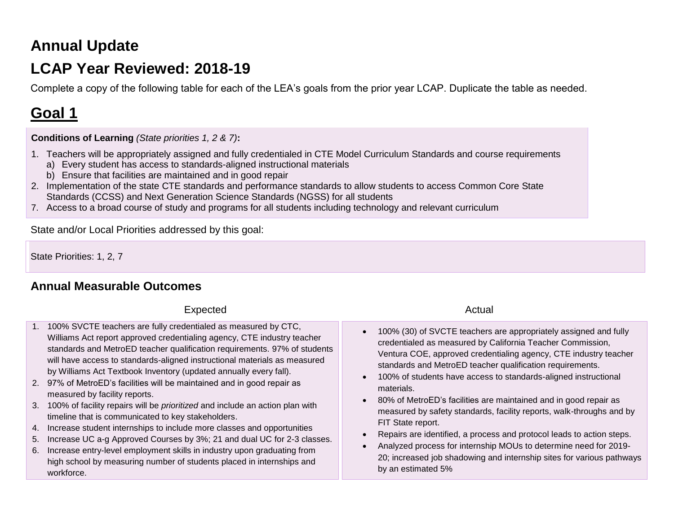# **Annual Update**

# **LCAP Year Reviewed: 2018-19**

Complete a copy of the following table for each of the LEA's goals from the prior year LCAP. Duplicate the table as needed.

# **Goal 1**

**Conditions of Learning** *(State priorities 1, 2 & 7)***:** 

- 1. Teachers will be appropriately assigned and fully credentialed in CTE Model Curriculum Standards and course requirements
	- a) Every student has access to standards-aligned instructional materials
	- b) Ensure that facilities are maintained and in good repair
- 2. Implementation of the state CTE standards and performance standards to allow students to access Common Core State Standards (CCSS) and Next Generation Science Standards (NGSS) for all students
- 7. Access to a broad course of study and programs for all students including technology and relevant curriculum

State and/or Local Priorities addressed by this goal:

State Priorities: 1, 2, 7

### **Annual Measurable Outcomes**

#### Expected Actual Actual Actual Actual Actual Actual Actual Actual Actual Actual Actual Actual Actual Actual Actual Actual Actual Actual Actual Actual Actual Actual Actual Actual Actual Actual Actual Actual Actual Actual Act

- 1. 100% SVCTE teachers are fully credentialed as measured by CTC, Williams Act report approved credentialing agency, CTE industry teacher standards and MetroED teacher qualification requirements. 97% of students will have access to standards-aligned instructional materials as measured by Williams Act Textbook Inventory (updated annually every fall).
- 2. 97% of MetroED's facilities will be maintained and in good repair as measured by facility reports.
- 3. 100% of facility repairs will be *prioritized* and include an action plan with timeline that is communicated to key stakeholders.
- 4. Increase student internships to include more classes and opportunities
- 5. Increase UC a-g Approved Courses by 3%; 21 and dual UC for 2-3 classes.
- 6. Increase entry-level employment skills in industry upon graduating from high school by measuring number of students placed in internships and workforce.

- 100% (30) of SVCTE teachers are appropriately assigned and fully credentialed as measured by California Teacher Commission, Ventura COE, approved credentialing agency, CTE industry teacher standards and MetroED teacher qualification requirements.
- 100% of students have access to standards-aligned instructional materials.
- 80% of MetroED's facilities are maintained and in good repair as measured by safety standards, facility reports, walk-throughs and by FIT State report.
- Repairs are identified, a process and protocol leads to action steps.
- Analyzed process for internship MOUs to determine need for 2019- 20; increased job shadowing and internship sites for various pathways by an estimated 5%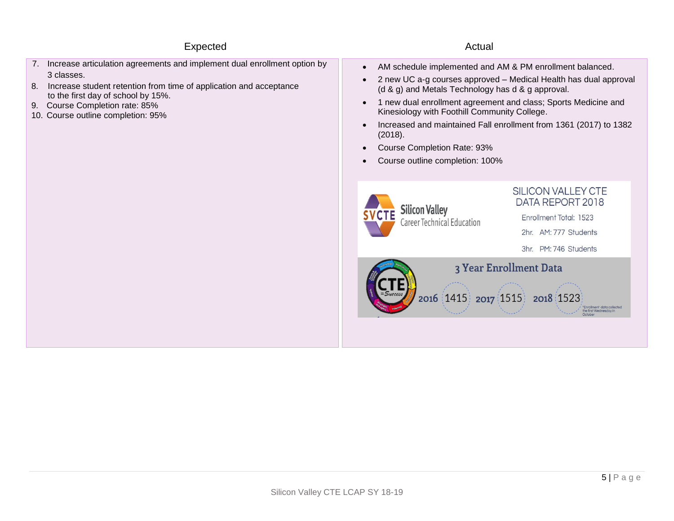#### Expected Actual Actual Actual Actual Actual Actual Actual Actual Actual Actual Actual Actual Actual Actual Actual Actual Actual Actual Actual Actual Actual Actual Actual Actual Actual Actual Actual Actual Actual Actual Act

#### 7. Increase articulation agreements and implement dual enrollment option by 3 classes.

- 8. Increase student retention from time of application and acceptance to the first day of school by 15%.
- 9. Course Completion rate: 85%
- 10. Course outline completion: 95%

- AM schedule implemented and AM & PM enrollment balanced.
- 2 new UC a-g courses approved Medical Health has dual approval (d & g) and Metals Technology has d & g approval.
- 1 new dual enrollment agreement and class; Sports Medicine and Kinesiology with Foothill Community College.
- Increased and maintained Fall enrollment from 1361 (2017) to 1382 (2018).
- Course Completion Rate: 93%
- Course outline completion: 100%



**SILICON VALLEY CTE** DATA REPORT 2018

Enrollment Total: 1523

2hr. AM: 777 Students

3hr. PM: 746 Students

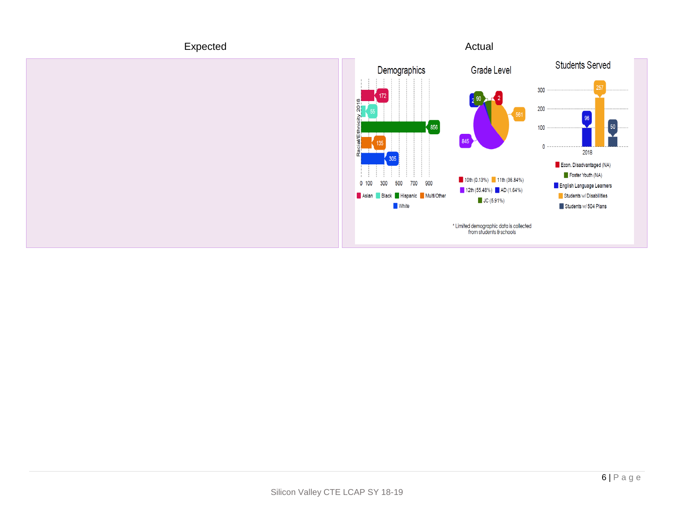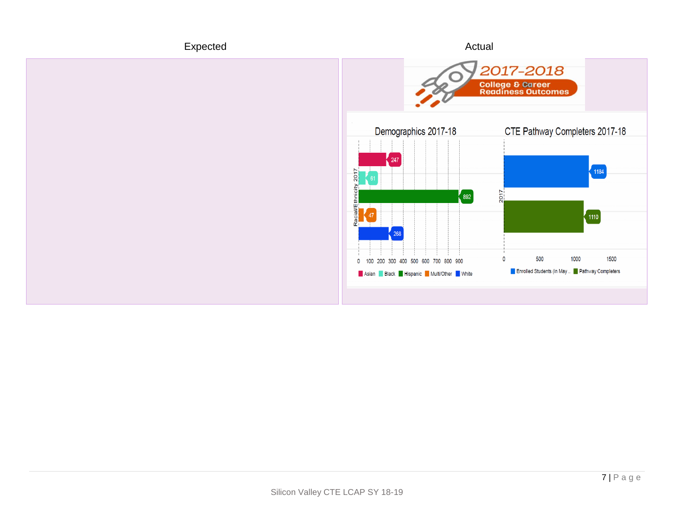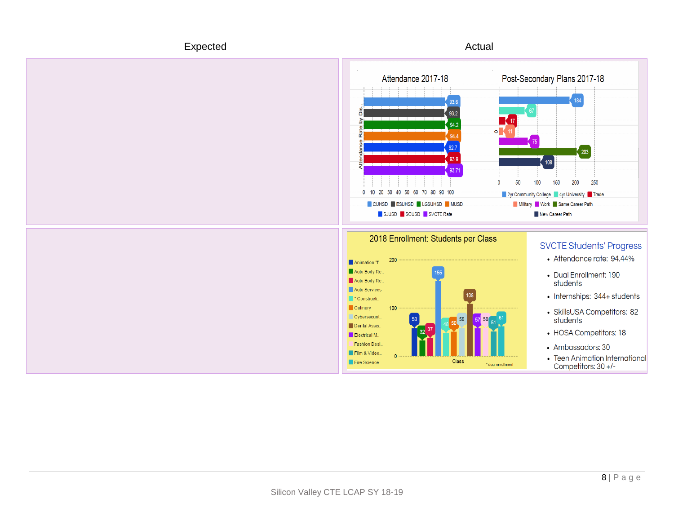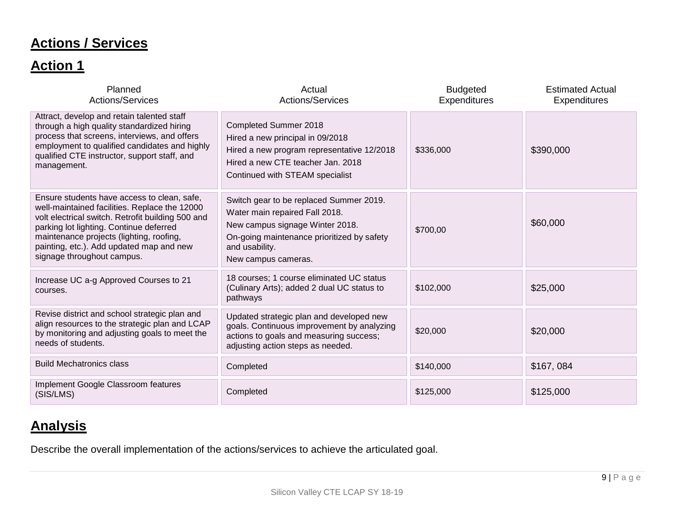# **Actions / Services**

## **Action 1**

| Planned<br><b>Actions/Services</b>                                                                                                                                                                                                                                                                                 | Actual<br>Actions/Services                                                                                                                                                                          | <b>Budgeted</b><br>Expenditures | <b>Estimated Actual</b><br><b>Expenditures</b> |
|--------------------------------------------------------------------------------------------------------------------------------------------------------------------------------------------------------------------------------------------------------------------------------------------------------------------|-----------------------------------------------------------------------------------------------------------------------------------------------------------------------------------------------------|---------------------------------|------------------------------------------------|
| Attract, develop and retain talented staff<br>through a high quality standardized hiring<br>process that screens, interviews, and offers<br>employment to qualified candidates and highly<br>qualified CTE instructor, support staff, and<br>management.                                                           | <b>Completed Summer 2018</b><br>Hired a new principal in 09/2018<br>Hired a new program representative 12/2018<br>Hired a new CTE teacher Jan. 2018<br>Continued with STEAM specialist              | \$336,000                       | \$390,000                                      |
| Ensure students have access to clean, safe,<br>well-maintained facilities. Replace the 12000<br>volt electrical switch. Retrofit building 500 and<br>parking lot lighting. Continue deferred<br>maintenance projects (lighting, roofing,<br>painting, etc.). Add updated map and new<br>signage throughout campus. | Switch gear to be replaced Summer 2019.<br>Water main repaired Fall 2018.<br>New campus signage Winter 2018.<br>On-going maintenance prioritized by safety<br>and usability.<br>New campus cameras. | \$700,00                        | \$60,000                                       |
| Increase UC a-g Approved Courses to 21<br>courses.                                                                                                                                                                                                                                                                 | 18 courses; 1 course eliminated UC status<br>(Culinary Arts); added 2 dual UC status to<br>pathways                                                                                                 | \$102,000                       | \$25,000                                       |
| Revise district and school strategic plan and<br>align resources to the strategic plan and LCAP<br>by monitoring and adjusting goals to meet the<br>needs of students.                                                                                                                                             | Updated strategic plan and developed new<br>goals. Continuous improvement by analyzing<br>actions to goals and measuring success;<br>adjusting action steps as needed.                              | \$20,000                        | \$20,000                                       |
| <b>Build Mechatronics class</b>                                                                                                                                                                                                                                                                                    | Completed                                                                                                                                                                                           | \$140,000                       | \$167,084                                      |
| Implement Google Classroom features<br>(SIS/LMS)                                                                                                                                                                                                                                                                   | Completed                                                                                                                                                                                           | \$125,000                       | \$125,000                                      |

## **Analysis**

Describe the overall implementation of the actions/services to achieve the articulated goal.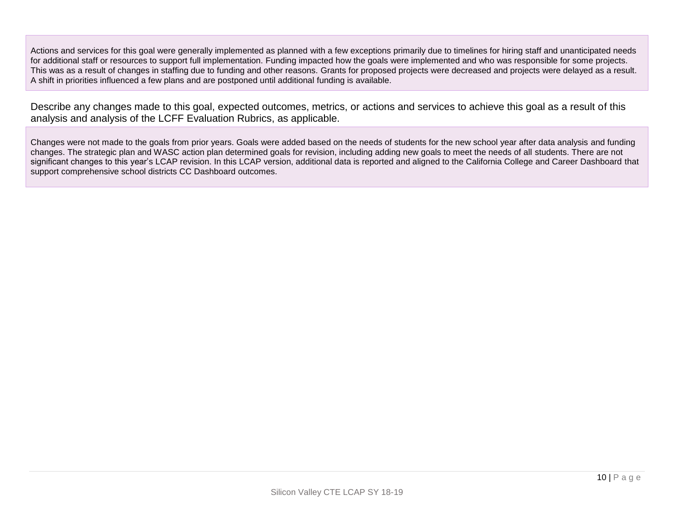Actions and services for this goal were generally implemented as planned with a few exceptions primarily due to timelines for hiring staff and unanticipated needs for additional staff or resources to support full implementation. Funding impacted how the goals were implemented and who was responsible for some projects. This was as a result of changes in staffing due to funding and other reasons. Grants for proposed projects were decreased and projects were delayed as a result. A shift in priorities influenced a few plans and are postponed until additional funding is available.

Describe any changes made to this goal, expected outcomes, metrics, or actions and services to achieve this goal as a result of this analysis and analysis of the LCFF Evaluation Rubrics, as applicable.

Changes were not made to the goals from prior years. Goals were added based on the needs of students for the new school year after data analysis and funding changes. The strategic plan and WASC action plan determined goals for revision, including adding new goals to meet the needs of all students. There are not significant changes to this year's LCAP revision. In this LCAP version, additional data is reported and aligned to the California College and Career Dashboard that support comprehensive school districts CC Dashboard outcomes.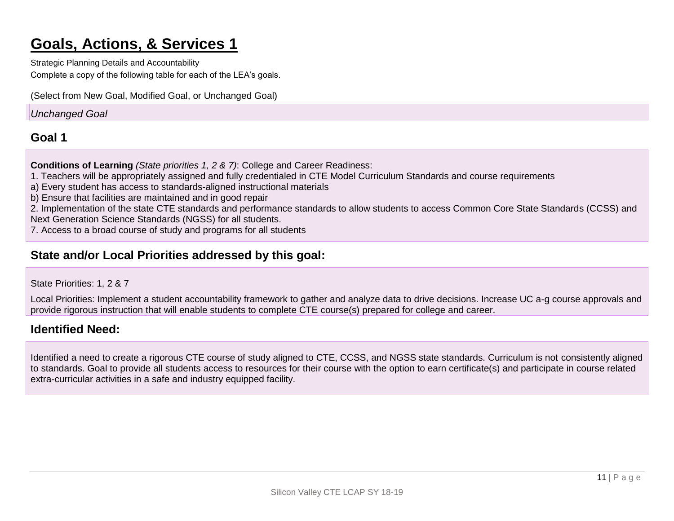# **Goals, Actions, & Services 1**

Strategic Planning Details and Accountability Complete a copy of the following table for each of the LEA's goals.

(Select from New Goal, Modified Goal, or Unchanged Goal)

#### *Unchanged Goal*

#### **Goal 1**

**Conditions of Learning** *(State priorities 1, 2 & 7)*: College and Career Readiness:

1. Teachers will be appropriately assigned and fully credentialed in CTE Model Curriculum Standards and course requirements

a) Every student has access to standards-aligned instructional materials

b) Ensure that facilities are maintained and in good repair

2. Implementation of the state CTE standards and performance standards to allow students to access Common Core State Standards (CCSS) and

Next Generation Science Standards (NGSS) for all students.

7. Access to a broad course of study and programs for all students

### **State and/or Local Priorities addressed by this goal:**

State Priorities: 1, 2 & 7

Local Priorities: Implement a student accountability framework to gather and analyze data to drive decisions. Increase UC a-g course approvals and provide rigorous instruction that will enable students to complete CTE course(s) prepared for college and career.

### **Identified Need:**

Identified a need to create a rigorous CTE course of study aligned to CTE, CCSS, and NGSS state standards. Curriculum is not consistently aligned to standards. Goal to provide all students access to resources for their course with the option to earn certificate(s) and participate in course related extra-curricular activities in a safe and industry equipped facility.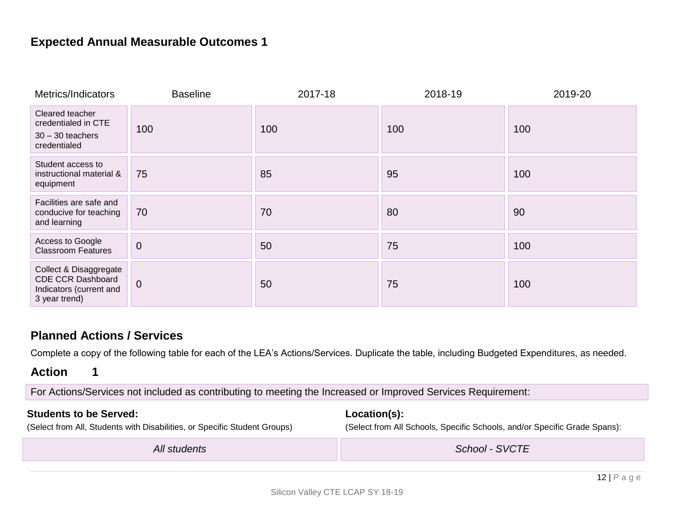### **Expected Annual Measurable Outcomes 1**

| Metrics/Indicators                                                                             | <b>Baseline</b> | 2017-18 | 2018-19 | 2019-20 |
|------------------------------------------------------------------------------------------------|-----------------|---------|---------|---------|
| Cleared teacher<br>credentialed in CTE<br>$30 - 30$ teachers<br>credentialed                   | 100             | 100     | 100     | 100     |
| Student access to<br>instructional material &<br>equipment                                     | 75              | 85      | 95      | 100     |
| Facilities are safe and<br>conducive for teaching<br>and learning                              | 70              | 70      | 80      | 90      |
| Access to Google<br><b>Classroom Features</b>                                                  | $\mathbf 0$     | 50      | 75      | 100     |
| Collect & Disaggregate<br><b>CDE CCR Dashboard</b><br>Indicators (current and<br>3 year trend) | $\overline{0}$  | 50      | 75      | 100     |

#### **Planned Actions / Services**

Complete a copy of the following table for each of the LEA's Actions/Services. Duplicate the table, including Budgeted Expenditures, as needed.

#### **Action 1**

For Actions/Services not included as contributing to meeting the Increased or Improved Services Requirement:

#### **Students to be Served:**

**Location(s):** (Select from All Schools, Specific Schools, and/or Specific Grade Spans):

(Select from All, Students with Disabilities, or Specific Student Groups)

*All students School - SVCTE*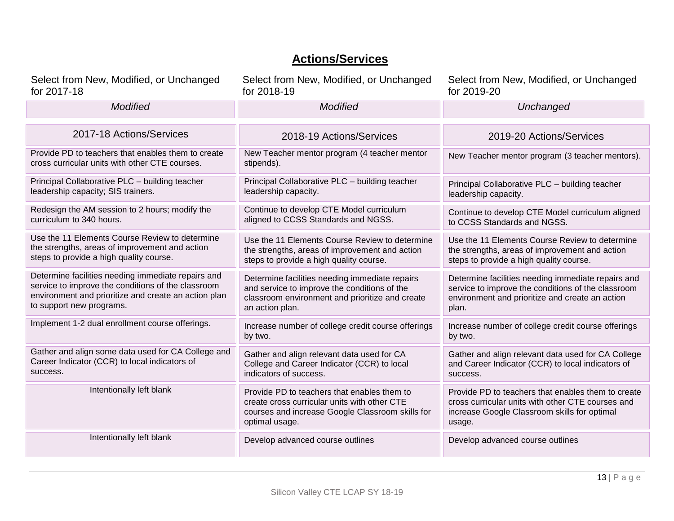### **Actions/Services**

| Select from New, Modified, or Unchanged                                                              | Select from New, Modified, or Unchanged                                                                                                                           | Select from New, Modified, or Unchanged                                                                                                                           |
|------------------------------------------------------------------------------------------------------|-------------------------------------------------------------------------------------------------------------------------------------------------------------------|-------------------------------------------------------------------------------------------------------------------------------------------------------------------|
| for 2017-18                                                                                          | for 2018-19                                                                                                                                                       | for 2019-20                                                                                                                                                       |
| <b>Modified</b>                                                                                      | <b>Modified</b>                                                                                                                                                   | Unchanged                                                                                                                                                         |
| 2017-18 Actions/Services                                                                             | 2018-19 Actions/Services                                                                                                                                          | 2019-20 Actions/Services                                                                                                                                          |
| Provide PD to teachers that enables them to create<br>cross curricular units with other CTE courses. | New Teacher mentor program (4 teacher mentor<br>stipends).                                                                                                        | New Teacher mentor program (3 teacher mentors).                                                                                                                   |
| Principal Collaborative PLC - building teacher                                                       | Principal Collaborative PLC - building teacher                                                                                                                    | Principal Collaborative PLC - building teacher                                                                                                                    |
| leadership capacity; SIS trainers.                                                                   | leadership capacity.                                                                                                                                              | leadership capacity.                                                                                                                                              |
| Redesign the AM session to 2 hours; modify the                                                       | Continue to develop CTE Model curriculum                                                                                                                          | Continue to develop CTE Model curriculum aligned                                                                                                                  |
| curriculum to 340 hours.                                                                             | aligned to CCSS Standards and NGSS.                                                                                                                               | to CCSS Standards and NGSS.                                                                                                                                       |
| Use the 11 Elements Course Review to determine                                                       | Use the 11 Elements Course Review to determine                                                                                                                    | Use the 11 Elements Course Review to determine                                                                                                                    |
| the strengths, areas of improvement and action                                                       | the strengths, areas of improvement and action                                                                                                                    | the strengths, areas of improvement and action                                                                                                                    |
| steps to provide a high quality course.                                                              | steps to provide a high quality course.                                                                                                                           | steps to provide a high quality course.                                                                                                                           |
| Determine facilities needing immediate repairs and                                                   | Determine facilities needing immediate repairs                                                                                                                    | Determine facilities needing immediate repairs and                                                                                                                |
| service to improve the conditions of the classroom                                                   | and service to improve the conditions of the                                                                                                                      | service to improve the conditions of the classroom                                                                                                                |
| environment and prioritize and create an action plan                                                 | classroom environment and prioritize and create                                                                                                                   | environment and prioritize and create an action                                                                                                                   |
| to support new programs.                                                                             | an action plan.                                                                                                                                                   | plan.                                                                                                                                                             |
| Implement 1-2 dual enrollment course offerings.                                                      | Increase number of college credit course offerings<br>by two.                                                                                                     | Increase number of college credit course offerings<br>by two.                                                                                                     |
| Gather and align some data used for CA College and                                                   | Gather and align relevant data used for CA                                                                                                                        | Gather and align relevant data used for CA College                                                                                                                |
| Career Indicator (CCR) to local indicators of                                                        | College and Career Indicator (CCR) to local                                                                                                                       | and Career Indicator (CCR) to local indicators of                                                                                                                 |
| success.                                                                                             | indicators of success.                                                                                                                                            | success.                                                                                                                                                          |
| Intentionally left blank                                                                             | Provide PD to teachers that enables them to<br>create cross curricular units with other CTE<br>courses and increase Google Classroom skills for<br>optimal usage. | Provide PD to teachers that enables them to create<br>cross curricular units with other CTE courses and<br>increase Google Classroom skills for optimal<br>usage. |
| Intentionally left blank                                                                             | Develop advanced course outlines                                                                                                                                  | Develop advanced course outlines                                                                                                                                  |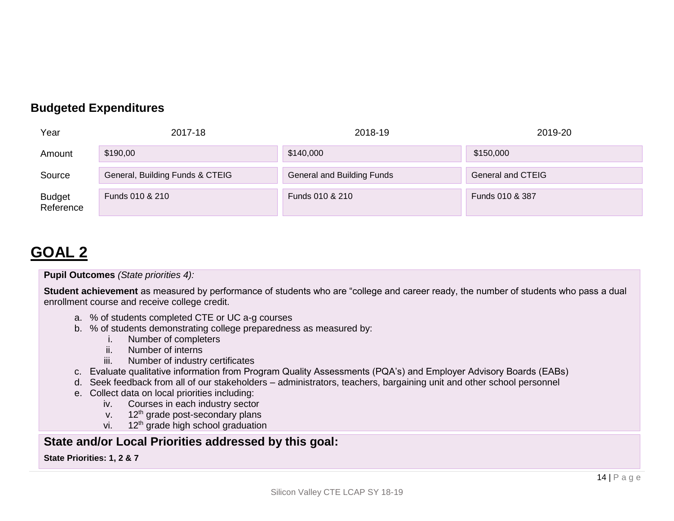### **Budgeted Expenditures**

| Year                       | 2017-18                         | 2018-19                    | 2019-20           |
|----------------------------|---------------------------------|----------------------------|-------------------|
| Amount                     | \$190,00                        | \$140,000                  | \$150,000         |
| Source                     | General, Building Funds & CTEIG | General and Building Funds | General and CTEIG |
| <b>Budget</b><br>Reference | Funds 010 & 210                 | Funds 010 & 210            | Funds 010 & 387   |

# **GOAL 2**

**Pupil Outcomes** *(State priorities 4):*

**Student achievement** as measured by performance of students who are "college and career ready, the number of students who pass a dual enrollment course and receive college credit.

- a. % of students completed CTE or UC a-g courses
- b. % of students demonstrating college preparedness as measured by:
	- i. Number of completers
	- ii. Number of interns
	- iii. Number of industry certificates
- c. Evaluate qualitative information from Program Quality Assessments (PQA's) and Employer Advisory Boards (EABs)
- d. Seek feedback from all of our stakeholders administrators, teachers, bargaining unit and other school personnel
- e. Collect data on local priorities including:
	- iv. Courses in each industry sector
	- $v.$  12<sup>th</sup> grade post-secondary plans
	- vi.  $12<sup>th</sup>$  grade high school graduation

### **State and/or Local Priorities addressed by this goal:**

**State Priorities: 1, 2 & 7**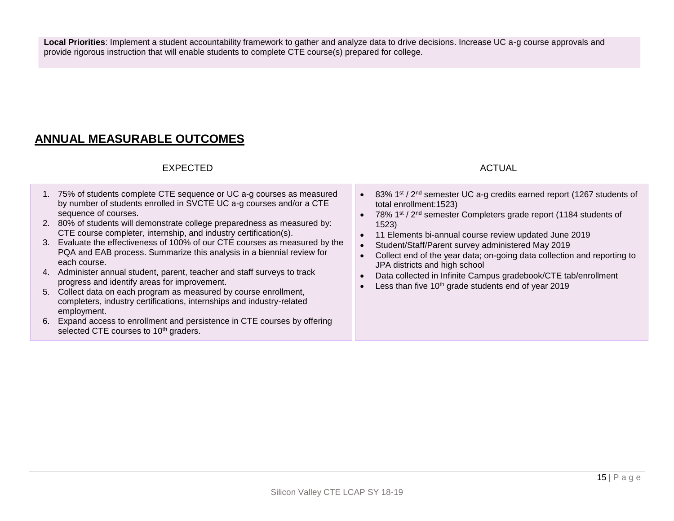**Local Priorities**: Implement a student accountability framework to gather and analyze data to drive decisions. Increase UC a-g course approvals and provide rigorous instruction that will enable students to complete CTE course(s) prepared for college.

### **ANNUAL MEASURABLE OUTCOMES**

#### EXPECTED ACTUAL AND THE SERVICE SERVICES AND ACTUAL ACTUAL ACTUAL ACTUAL ACTUAL ACTUAL ACTUAL ACTUAL ACTUAL ACTUAL ACTUAL ACTUAL ACTUAL ACTUAL ACTUAL ACTUAL ACTUAL ACTUAL ACTUAL ACTUAL ACTUAL ACTUAL ACTUAL ACTUAL ACTUAL AC

- 1. 75% of students complete CTE sequence or UC a-g courses as measured by number of students enrolled in SVCTE UC a-g courses and/or a CTE sequence of courses.
- 2. 80% of students will demonstrate college preparedness as measured by: CTE course completer, internship, and industry certification(s).
- 3. Evaluate the effectiveness of 100% of our CTE courses as measured by the PQA and EAB process. Summarize this analysis in a biennial review for each course.
- 4. Administer annual student, parent, teacher and staff surveys to track progress and identify areas for improvement.
- 5. Collect data on each program as measured by course enrollment, completers, industry certifications, internships and industry-related employment.
- 6. Expand access to enrollment and persistence in CTE courses by offering selected CTE courses to 10<sup>th</sup> graders.

- 83% 1<sup>st</sup> / 2<sup>nd</sup> semester UC a-g credits earned report (1267 students of total enrollment:1523)
- 78% 1<sup>st</sup> / 2<sup>nd</sup> semester Completers grade report (1184 students of 1523)
- 11 Elements bi-annual course review updated June 2019
- Student/Staff/Parent survey administered May 2019
- Collect end of the year data; on-going data collection and reporting to JPA districts and high school
- Data collected in Infinite Campus gradebook/CTE tab/enrollment
- Less than five  $10<sup>th</sup>$  grade students end of year 2019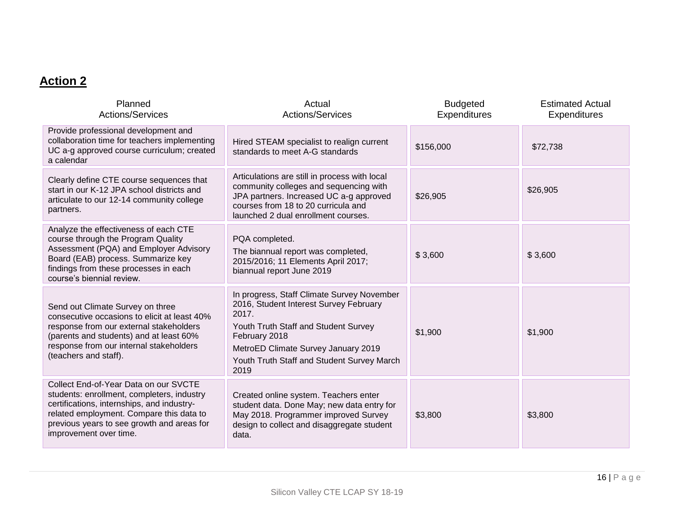### **Action 2**

| Planned<br><b>Actions/Services</b>                                                                                                                                                                                                                    | Actual<br>Actions/Services                                                                                                                                                                                                                          | <b>Budgeted</b><br><b>Expenditures</b> | <b>Estimated Actual</b><br>Expenditures |
|-------------------------------------------------------------------------------------------------------------------------------------------------------------------------------------------------------------------------------------------------------|-----------------------------------------------------------------------------------------------------------------------------------------------------------------------------------------------------------------------------------------------------|----------------------------------------|-----------------------------------------|
| Provide professional development and<br>collaboration time for teachers implementing<br>UC a-g approved course curriculum; created<br>a calendar                                                                                                      | Hired STEAM specialist to realign current<br>standards to meet A-G standards                                                                                                                                                                        | \$156,000                              | \$72,738                                |
| Clearly define CTE course sequences that<br>start in our K-12 JPA school districts and<br>articulate to our 12-14 community college<br>partners.                                                                                                      | Articulations are still in process with local<br>community colleges and sequencing with<br>JPA partners. Increased UC a-g approved<br>courses from 18 to 20 curricula and<br>launched 2 dual enrollment courses.                                    | \$26,905                               | \$26,905                                |
| Analyze the effectiveness of each CTE<br>course through the Program Quality<br>Assessment (PQA) and Employer Advisory<br>Board (EAB) process. Summarize key<br>findings from these processes in each<br>course's biennial review.                     | PQA completed.<br>The biannual report was completed,<br>2015/2016; 11 Elements April 2017;<br>biannual report June 2019                                                                                                                             | \$3,600                                | \$3,600                                 |
| Send out Climate Survey on three<br>consecutive occasions to elicit at least 40%<br>response from our external stakeholders<br>(parents and students) and at least 60%<br>response from our internal stakeholders<br>(teachers and staff).            | In progress, Staff Climate Survey November<br>2016, Student Interest Survey February<br>2017.<br>Youth Truth Staff and Student Survey<br>February 2018<br>MetroED Climate Survey January 2019<br>Youth Truth Staff and Student Survey March<br>2019 | \$1,900                                | \$1,900                                 |
| Collect End-of-Year Data on our SVCTE<br>students: enrollment, completers, industry<br>certifications, internships, and industry-<br>related employment. Compare this data to<br>previous years to see growth and areas for<br>improvement over time. | Created online system. Teachers enter<br>student data. Done May; new data entry for<br>May 2018. Programmer improved Survey<br>design to collect and disaggregate student<br>data.                                                                  | \$3,800                                | \$3,800                                 |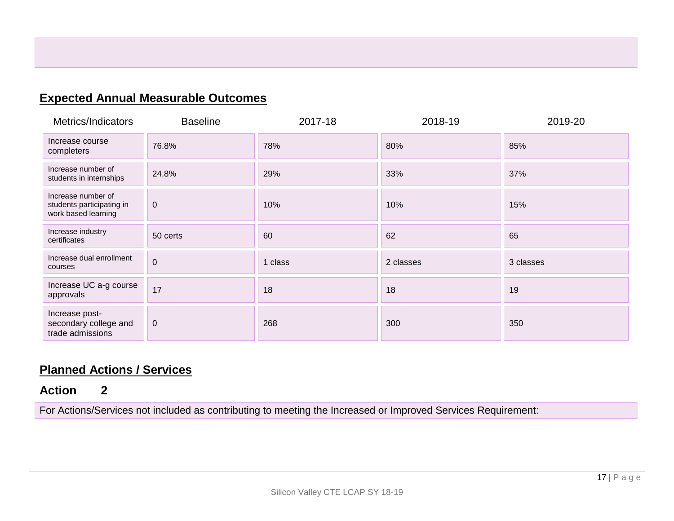### **Expected Annual Measurable Outcomes**

| Metrics/Indicators                                                     | <b>Baseline</b> | 2017-18 | 2018-19   | 2019-20   |
|------------------------------------------------------------------------|-----------------|---------|-----------|-----------|
| Increase course<br>completers                                          | 76.8%           | 78%     | 80%       | 85%       |
| Increase number of<br>students in internships                          | 24.8%           | 29%     | 33%       | 37%       |
| Increase number of<br>students participating in<br>work based learning | $\mathbf 0$     | 10%     | 10%       | 15%       |
| Increase industry<br>certificates                                      | 50 certs        | 60      | 62        | 65        |
| Increase dual enrollment<br>courses                                    | $\mathbf 0$     | 1 class | 2 classes | 3 classes |
| Increase UC a-g course<br>approvals                                    | 17              | 18      | 18        | 19        |
| Increase post-<br>secondary college and<br>trade admissions            | $\mathbf 0$     | 268     | 300       | 350       |

### **Planned Actions / Services**

### **Action 2**

For Actions/Services not included as contributing to meeting the Increased or Improved Services Requirement: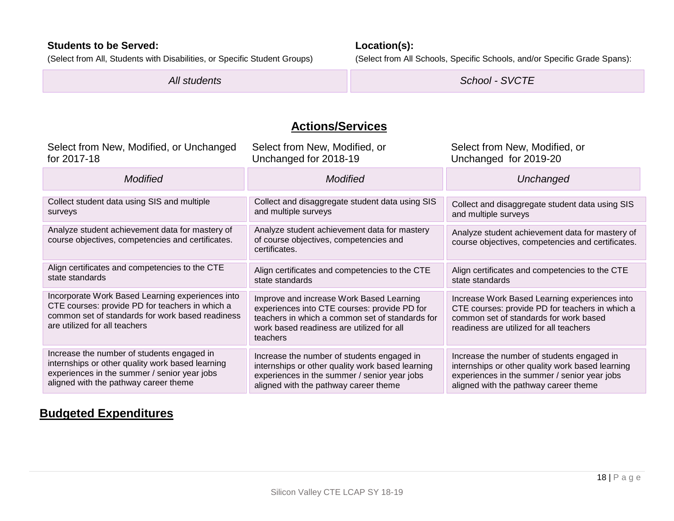#### **Students to be Served:**

(Select from All, Students with Disabilities, or Specific Student Groups)

**Location(s):**

(Select from All Schools, Specific Schools, and/or Specific Grade Spans):

*All students School - SVCTE*

### **Actions/Services**

| Select from New, Modified, or Unchanged                                                                                                                                                  | Select from New, Modified, or                                                                                                                                                                        | Select from New, Modified, or                                                                                                                                                         |
|------------------------------------------------------------------------------------------------------------------------------------------------------------------------------------------|------------------------------------------------------------------------------------------------------------------------------------------------------------------------------------------------------|---------------------------------------------------------------------------------------------------------------------------------------------------------------------------------------|
| for 2017-18                                                                                                                                                                              | Unchanged for 2018-19                                                                                                                                                                                | Unchanged for 2019-20                                                                                                                                                                 |
| <b>Modified</b>                                                                                                                                                                          | <b>Modified</b>                                                                                                                                                                                      | Unchanged                                                                                                                                                                             |
| Collect student data using SIS and multiple                                                                                                                                              | Collect and disaggregate student data using SIS                                                                                                                                                      | Collect and disaggregate student data using SIS                                                                                                                                       |
| surveys                                                                                                                                                                                  | and multiple surveys                                                                                                                                                                                 | and multiple surveys                                                                                                                                                                  |
| Analyze student achievement data for mastery of<br>course objectives, competencies and certificates.                                                                                     | Analyze student achievement data for mastery<br>of course objectives, competencies and<br>certificates.                                                                                              | Analyze student achievement data for mastery of<br>course objectives, competencies and certificates.                                                                                  |
| Align certificates and competencies to the CTE                                                                                                                                           | Align certificates and competencies to the CTE                                                                                                                                                       | Align certificates and competencies to the CTE                                                                                                                                        |
| state standards                                                                                                                                                                          | state standards                                                                                                                                                                                      | state standards                                                                                                                                                                       |
| Incorporate Work Based Learning experiences into<br>CTE courses: provide PD for teachers in which a<br>common set of standards for work based readiness<br>are utilized for all teachers | Improve and increase Work Based Learning<br>experiences into CTE courses: provide PD for<br>teachers in which a common set of standards for<br>work based readiness are utilized for all<br>teachers | Increase Work Based Learning experiences into<br>CTE courses: provide PD for teachers in which a<br>common set of standards for work based<br>readiness are utilized for all teachers |
| Increase the number of students engaged in                                                                                                                                               | Increase the number of students engaged in                                                                                                                                                           | Increase the number of students engaged in                                                                                                                                            |
| internships or other quality work based learning                                                                                                                                         | internships or other quality work based learning                                                                                                                                                     | internships or other quality work based learning                                                                                                                                      |
| experiences in the summer / senior year jobs                                                                                                                                             | experiences in the summer / senior year jobs                                                                                                                                                         | experiences in the summer / senior year jobs                                                                                                                                          |
| aligned with the pathway career theme                                                                                                                                                    | aligned with the pathway career theme                                                                                                                                                                | aligned with the pathway career theme                                                                                                                                                 |

### **Budgeted Expenditures**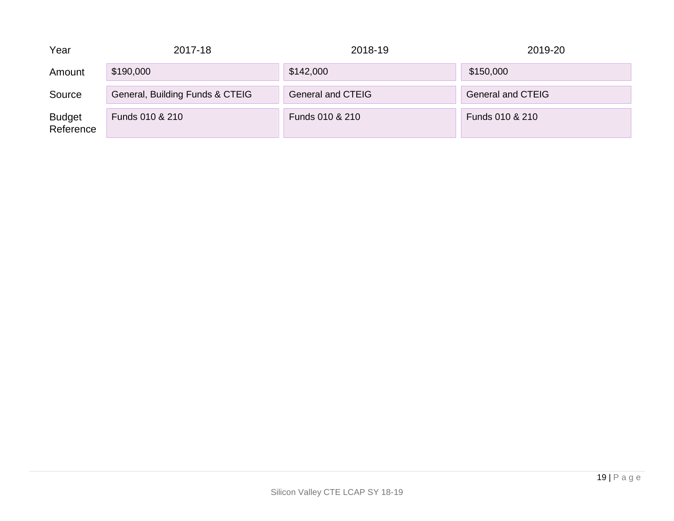| Year                       | 2017-18                         | 2018-19                  | 2019-20                  |
|----------------------------|---------------------------------|--------------------------|--------------------------|
| Amount                     | \$190,000                       | \$142,000                | \$150,000                |
| Source                     | General, Building Funds & CTEIG | <b>General and CTEIG</b> | <b>General and CTEIG</b> |
| <b>Budget</b><br>Reference | Funds 010 & 210                 | Funds 010 & 210          | Funds 010 & 210          |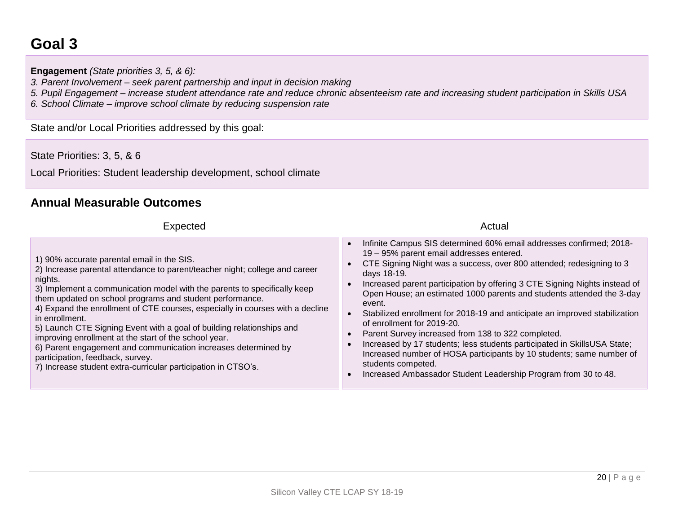# **Goal 3**

**Engagement** *(State priorities 3, 5, & 6):* 

*3. Parent Involvement – seek parent partnership and input in decision making*

*5. Pupil Engagement – increase student attendance rate and reduce chronic absenteeism rate and increasing student participation in Skills USA*

*6. School Climate – improve school climate by reducing suspension rate*

State and/or Local Priorities addressed by this goal:

State Priorities: 3, 5, & 6

Local Priorities: Student leadership development, school climate

#### **Annual Measurable Outcomes**

| <b>Expected</b>                                                                                                                                                                                                                                                                                                                                                                                                                                                                                                                                                                                                                                                                          | Actual                                                                                                                                                                                                                                                                                                                                                                                                                                                                                                                                                                                                                                                                                                                                                                                                                                                                           |
|------------------------------------------------------------------------------------------------------------------------------------------------------------------------------------------------------------------------------------------------------------------------------------------------------------------------------------------------------------------------------------------------------------------------------------------------------------------------------------------------------------------------------------------------------------------------------------------------------------------------------------------------------------------------------------------|----------------------------------------------------------------------------------------------------------------------------------------------------------------------------------------------------------------------------------------------------------------------------------------------------------------------------------------------------------------------------------------------------------------------------------------------------------------------------------------------------------------------------------------------------------------------------------------------------------------------------------------------------------------------------------------------------------------------------------------------------------------------------------------------------------------------------------------------------------------------------------|
| 1) 90% accurate parental email in the SIS.<br>2) Increase parental attendance to parent/teacher night; college and career<br>nights.<br>3) Implement a communication model with the parents to specifically keep<br>them updated on school programs and student performance.<br>4) Expand the enrollment of CTE courses, especially in courses with a decline<br>in enrollment.<br>5) Launch CTE Signing Event with a goal of building relationships and<br>improving enrollment at the start of the school year.<br>6) Parent engagement and communication increases determined by<br>participation, feedback, survey.<br>7) Increase student extra-curricular participation in CTSO's. | Infinite Campus SIS determined 60% email addresses confirmed; 2018-<br>$\bullet$<br>19 - 95% parent email addresses entered.<br>CTE Signing Night was a success, over 800 attended; redesigning to 3<br>$\bullet$<br>days 18-19.<br>Increased parent participation by offering 3 CTE Signing Nights instead of<br>$\bullet$<br>Open House; an estimated 1000 parents and students attended the 3-day<br>event.<br>Stabilized enrollment for 2018-19 and anticipate an improved stabilization<br>$\bullet$<br>of enrollment for 2019-20.<br>Parent Survey increased from 138 to 322 completed.<br>$\bullet$<br>Increased by 17 students; less students participated in SkillsUSA State;<br>$\bullet$<br>Increased number of HOSA participants by 10 students; same number of<br>students competed.<br>Increased Ambassador Student Leadership Program from 30 to 48.<br>$\bullet$ |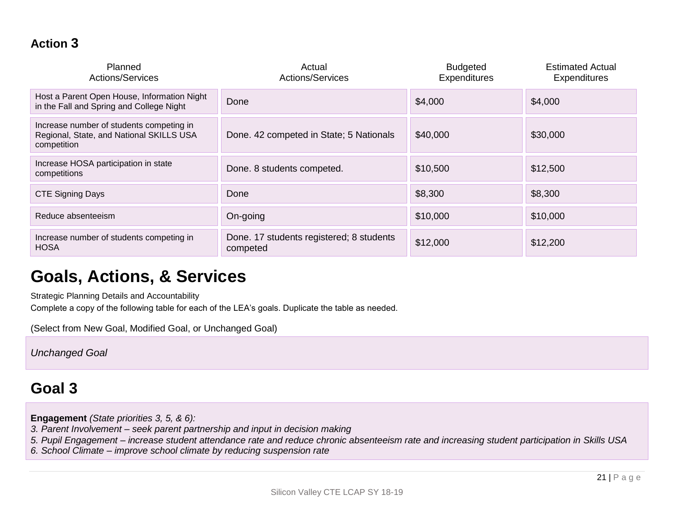### **Action 3**

| Planned<br><b>Actions/Services</b>                                                                  | Actual<br><b>Actions/Services</b>                    | <b>Budgeted</b><br><b>Expenditures</b> | <b>Estimated Actual</b><br><b>Expenditures</b> |
|-----------------------------------------------------------------------------------------------------|------------------------------------------------------|----------------------------------------|------------------------------------------------|
| Host a Parent Open House, Information Night<br>in the Fall and Spring and College Night             | Done                                                 | \$4,000                                | \$4,000                                        |
| Increase number of students competing in<br>Regional, State, and National SKILLS USA<br>competition | Done. 42 competed in State; 5 Nationals              | \$40,000                               | \$30,000                                       |
| Increase HOSA participation in state<br>competitions                                                | Done. 8 students competed.                           | \$10,500                               | \$12,500                                       |
| <b>CTE Signing Days</b>                                                                             | Done                                                 | \$8,300                                | \$8,300                                        |
| Reduce absenteeism                                                                                  | On-going                                             | \$10,000                               | \$10,000                                       |
| Increase number of students competing in<br><b>HOSA</b>                                             | Done. 17 students registered; 8 students<br>competed | \$12,000                               | \$12,200                                       |

# **Goals, Actions, & Services**

Strategic Planning Details and Accountability

Complete a copy of the following table for each of the LEA's goals. Duplicate the table as needed.

(Select from New Goal, Modified Goal, or Unchanged Goal)

*Unchanged Goal*

# **Goal 3**

**Engagement** *(State priorities 3, 5, & 6):* 

- *3. Parent Involvement – seek parent partnership and input in decision making*
- *5. Pupil Engagement – increase student attendance rate and reduce chronic absenteeism rate and increasing student participation in Skills USA*
- *6. School Climate – improve school climate by reducing suspension rate*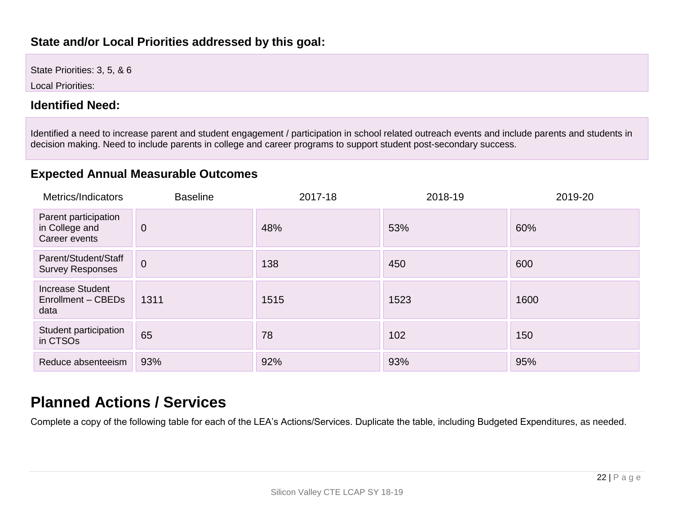#### **State and/or Local Priorities addressed by this goal:**

State Priorities: 3, 5, & 6

Local Priorities:

#### **Identified Need:**

Identified a need to increase parent and student engagement / participation in school related outreach events and include parents and students in decision making. Need to include parents in college and career programs to support student post-secondary success.

### **Expected Annual Measurable Outcomes**

| Metrics/Indicators                                      | <b>Baseline</b> | 2017-18 | 2018-19 | 2019-20 |
|---------------------------------------------------------|-----------------|---------|---------|---------|
| Parent participation<br>in College and<br>Career events | $\overline{0}$  | 48%     | 53%     | 60%     |
| Parent/Student/Staff<br><b>Survey Responses</b>         | $\overline{0}$  | 138     | 450     | 600     |
| <b>Increase Student</b><br>Enrollment - CBEDs<br>data   | 1311            | 1515    | 1523    | 1600    |
| Student participation<br>in CTSO <sub>s</sub>           | 65              | 78      | 102     | 150     |
| Reduce absenteeism                                      | 93%             | 92%     | 93%     | 95%     |

# **Planned Actions / Services**

Complete a copy of the following table for each of the LEA's Actions/Services. Duplicate the table, including Budgeted Expenditures, as needed.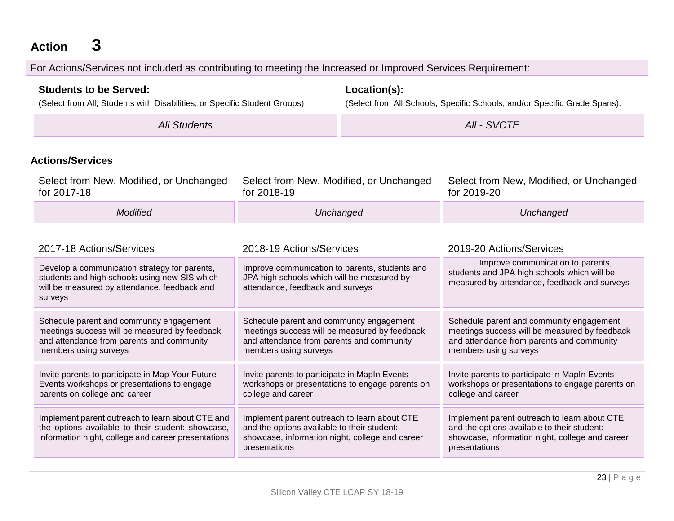**Action 3**

For Actions/Services not included as contributing to meeting the Increased or Improved Services Requirement:

| <b>Students to be Served:</b><br>(Select from All, Students with Disabilities, or Specific Student Groups)                                                                            |                                                                                                                                                                 | Location(s):<br>(Select from All Schools, Specific Schools, and/or Specific Grade Spans): |                                                                                                                                                                 |
|---------------------------------------------------------------------------------------------------------------------------------------------------------------------------------------|-----------------------------------------------------------------------------------------------------------------------------------------------------------------|-------------------------------------------------------------------------------------------|-----------------------------------------------------------------------------------------------------------------------------------------------------------------|
| <b>All Students</b>                                                                                                                                                                   |                                                                                                                                                                 | All - SVCTE                                                                               |                                                                                                                                                                 |
| <b>Actions/Services</b>                                                                                                                                                               |                                                                                                                                                                 |                                                                                           |                                                                                                                                                                 |
| Select from New, Modified, or Unchanged<br>for 2017-18                                                                                                                                | Select from New, Modified, or Unchanged<br>for 2018-19                                                                                                          |                                                                                           | Select from New, Modified, or Unchanged<br>for 2019-20                                                                                                          |
| <b>Modified</b>                                                                                                                                                                       | Unchanged                                                                                                                                                       |                                                                                           | Unchanged                                                                                                                                                       |
| 2017-18 Actions/Services<br>Develop a communication strategy for parents,<br>students and high schools using new SIS which<br>will be measured by attendance, feedback and<br>surveys | 2018-19 Actions/Services<br>Improve communication to parents, students and<br>JPA high schools which will be measured by<br>attendance, feedback and surveys    |                                                                                           | 2019-20 Actions/Services<br>Improve communication to parents,<br>students and JPA high schools which will be<br>measured by attendance, feedback and surveys    |
| Schedule parent and community engagement<br>meetings success will be measured by feedback<br>and attendance from parents and community<br>members using surveys                       | Schedule parent and community engagement<br>meetings success will be measured by feedback<br>and attendance from parents and community<br>members using surveys |                                                                                           | Schedule parent and community engagement<br>meetings success will be measured by feedback<br>and attendance from parents and community<br>members using surveys |
| Invite parents to participate in Map Your Future<br>Events workshops or presentations to engage<br>parents on college and career                                                      | Invite parents to participate in MapIn Events<br>workshops or presentations to engage parents on<br>college and career                                          |                                                                                           | Invite parents to participate in MapIn Events<br>workshops or presentations to engage parents on<br>college and career                                          |
| Implement parent outreach to learn about CTE and<br>the options available to their student: showcase,<br>information night, college and career presentations                          | Implement parent outreach to learn about CTE<br>and the options available to their student:<br>showcase, information night, college and career<br>presentations |                                                                                           | Implement parent outreach to learn about CTE<br>and the options available to their student:<br>showcase, information night, college and career<br>presentations |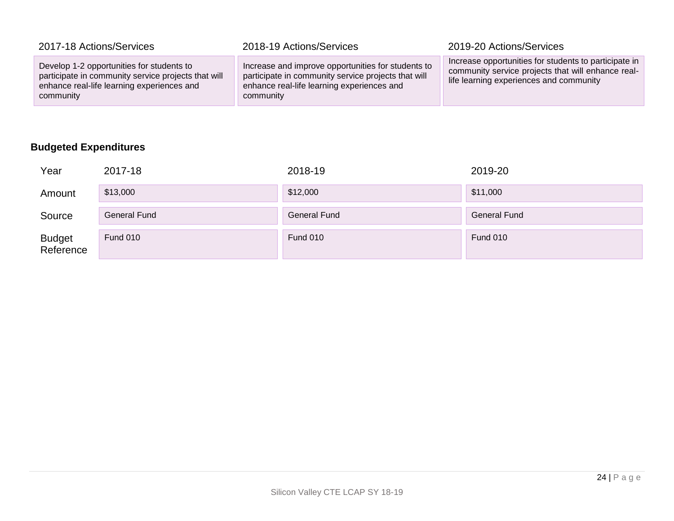| 2017-18 Actions/Services                                                                                                                                    | 2018-19 Actions/Services                                                                                                                                             | 2019-20 Actions/Services                                                                                                                               |
|-------------------------------------------------------------------------------------------------------------------------------------------------------------|----------------------------------------------------------------------------------------------------------------------------------------------------------------------|--------------------------------------------------------------------------------------------------------------------------------------------------------|
| Develop 1-2 opportunities for students to<br>participate in community service projects that will<br>enhance real-life learning experiences and<br>community | Increase and improve opportunities for students to<br>participate in community service projects that will<br>enhance real-life learning experiences and<br>community | Increase opportunities for students to participate in<br>community service projects that will enhance real-<br>life learning experiences and community |

### **Budgeted Expenditures**

| Year                       | 2017-18             | 2018-19             | 2019-20             |
|----------------------------|---------------------|---------------------|---------------------|
| Amount                     | \$13,000            | \$12,000            | \$11,000            |
| Source                     | <b>General Fund</b> | <b>General Fund</b> | <b>General Fund</b> |
| <b>Budget</b><br>Reference | Fund 010            | <b>Fund 010</b>     | <b>Fund 010</b>     |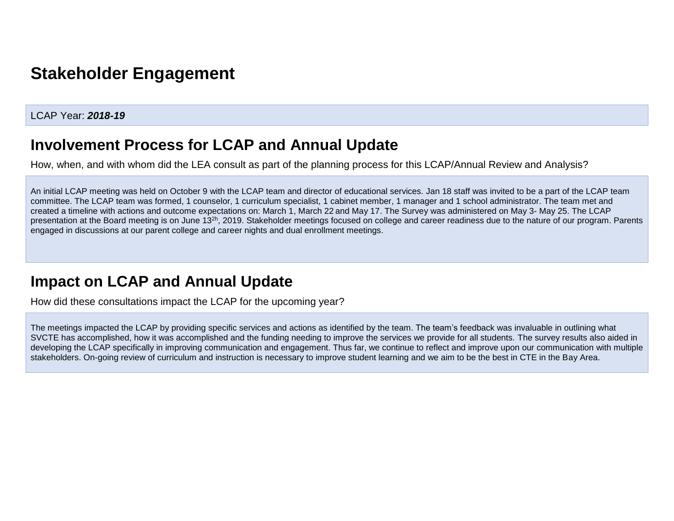# **Stakeholder Engagement**

#### LCAP Year: *2018-19*

### **Involvement Process for LCAP and Annual Update**

How, when, and with whom did the LEA consult as part of the planning process for this LCAP/Annual Review and Analysis?

An initial LCAP meeting was held on October 9 with the LCAP team and director of educational services. Jan 18 staff was invited to be a part of the LCAP team committee. The LCAP team was formed, 1 counselor, 1 curriculum specialist, 1 cabinet member, 1 manager and 1 school administrator. The team met and created a timeline with actions and outcome expectations on: March 1, March 22 and May 17. The Survey was administered on May 3- May 25. The LCAP presentation at the Board meeting is on June 13<sup>2h</sup>, 2019. Stakeholder meetings focused on college and career readiness due to the nature of our program. Parents engaged in discussions at our parent college and career nights and dual enrollment meetings.

# **Impact on LCAP and Annual Update**

How did these consultations impact the LCAP for the upcoming year?

The meetings impacted the LCAP by providing specific services and actions as identified by the team. The team's feedback was invaluable in outlining what SVCTE has accomplished, how it was accomplished and the funding needing to improve the services we provide for all students. The survey results also aided in developing the LCAP specifically in improving communication and engagement. Thus far, we continue to reflect and improve upon our communication with multiple stakeholders. On-going review of curriculum and instruction is necessary to improve student learning and we aim to be the best in CTE in the Bay Area.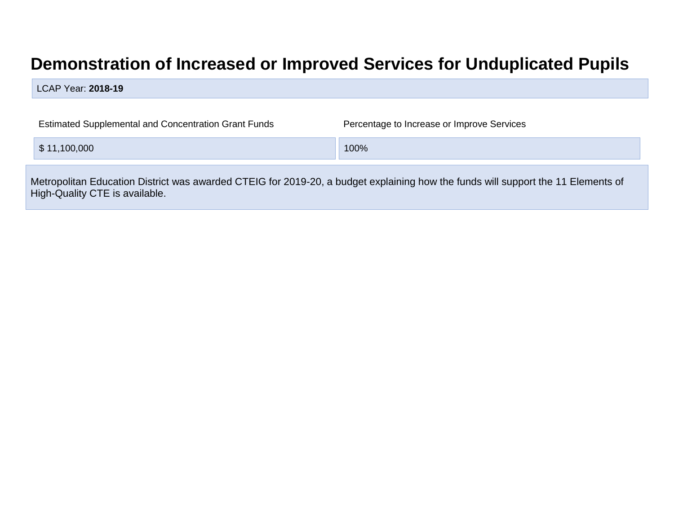# **Demonstration of Increased or Improved Services for Unduplicated Pupils**

LCAP Year: **2018-19**

| <b>Estimated Supplemental and Concentration Grant Funds</b>                                                                                                        | Percentage to Increase or Improve Services |  |  |  |
|--------------------------------------------------------------------------------------------------------------------------------------------------------------------|--------------------------------------------|--|--|--|
| \$11,100,000                                                                                                                                                       | 100%                                       |  |  |  |
| Metropolitan Education District was awarded CTEIG for 2019-20, a budget explaining how the funds will support the 11 Elements of<br>High-Quality CTE is available. |                                            |  |  |  |